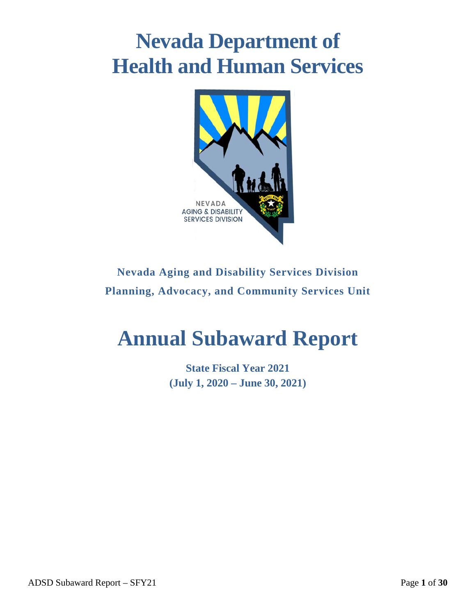# **Nevada Department of Health and Human Services**



## **Nevada Aging and Disability Services Division Planning, Advocacy, and Community Services Unit**

# **Annual Subaward Report**

**State Fiscal Year 2021 (July 1, 2020 – June 30, 2021)**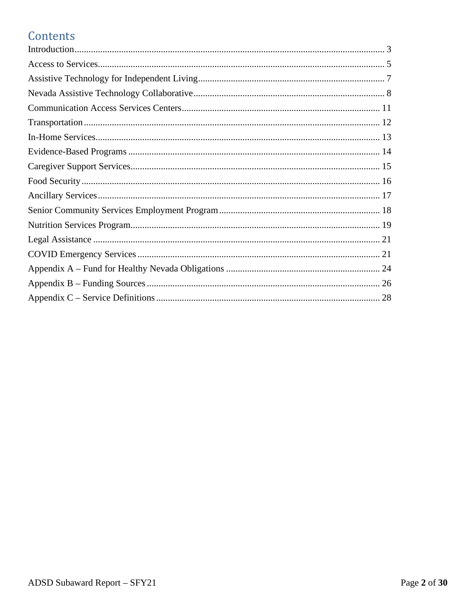## Contents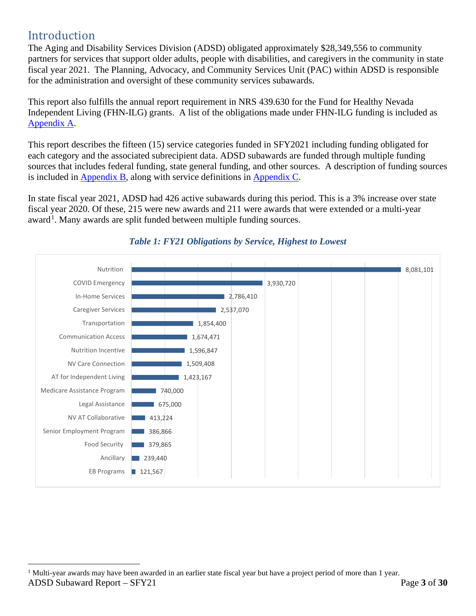## <span id="page-2-0"></span>Introduction

The Aging and Disability Services Division (ADSD) obligated approximately \$28,349,556 to community partners for services that support older adults, people with disabilities, and caregivers in the community in state fiscal year 2021. The Planning, Advocacy, and Community Services Unit (PAC) within ADSD is responsible for the administration and oversight of these community services subawards.

. [Appendix A](#page-23-0) This report also fulfills the annual report requirement in NRS 439.630 for the Fund for Healthy Nevada Independent Living (FHN-ILG) grants. A list of the obligations made under FHN-ILG funding is included as

is included in  $\Delta$ ppendix B, along with service definitions in  $\Delta$ ppendix C. This report describes the fifteen (15) service categories funded in SFY2021 including funding obligated for each category and the associated subrecipient data. ADSD subawards are funded through multiple funding sources that includes federal funding, state general funding, and other sources. A description of funding sources

In state fiscal year 2021, ADSD had 426 active subawards during this period. This is a 3% increase over state fiscal year 2020. Of these, 215 were new awards and 211 were awards that were extended or a multi-year award<sup>[1](#page-2-1)</sup>. Many awards are split funded between multiple funding sources.



#### *Table 1: FY21 Obligations by Service, Highest to Lowest*

<span id="page-2-1"></span>ADSD Subaward Report – SFY21 **Page 3** of 30  $<sup>1</sup>$  Multi-year awards may have been awarded in an earlier state fiscal year but have a project period of more than 1 year.</sup>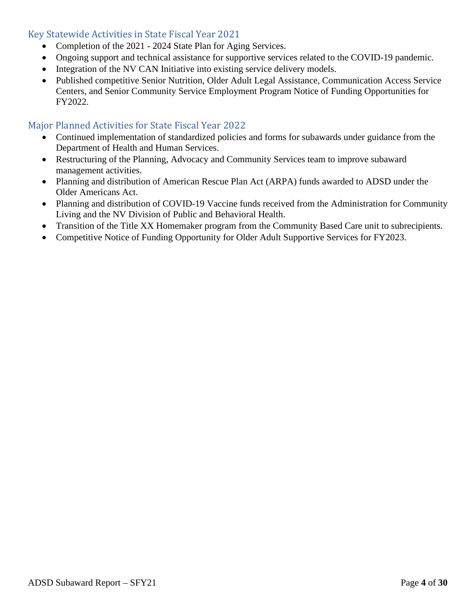#### Key Statewide Activities in State Fiscal Year 2021

- Completion of the 2021 2024 State Plan for Aging Services.
- Ongoing support and technical assistance for supportive services related to the COVID-19 pandemic.
- Integration of the NV CAN Initiative into existing service delivery models.
- Published competitive Senior Nutrition, Older Adult Legal Assistance, Communication Access Service Centers, and Senior Community Service Employment Program Notice of Funding Opportunities for FY2022.

#### Major Planned Activities for State Fiscal Year 2022

- Continued implementation of standardized policies and forms for subawards under guidance from the Department of Health and Human Services.
- Restructuring of the Planning, Advocacy and Community Services team to improve subaward management activities.
- Planning and distribution of American Rescue Plan Act (ARPA) funds awarded to ADSD under the Older Americans Act.
- Planning and distribution of COVID-19 Vaccine funds received from the Administration for Community Living and the NV Division of Public and Behavioral Health.
- Transition of the Title XX Homemaker program from the Community Based Care unit to subrecipients.
- Competitive Notice of Funding Opportunity for Older Adult Supportive Services for FY2023.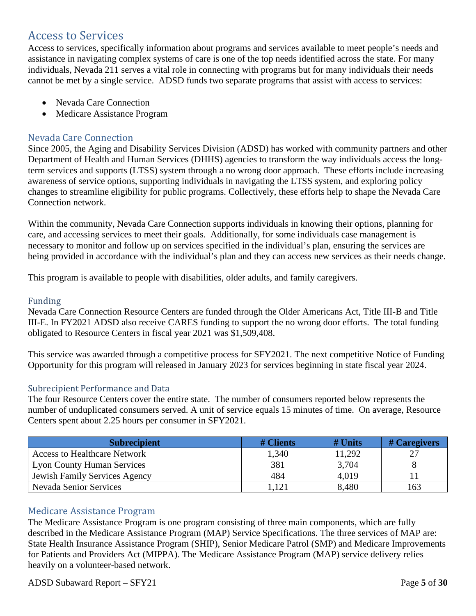### <span id="page-4-0"></span>Access to Services

Access to services, specifically information about programs and services available to meet people's needs and assistance in navigating complex systems of care is one of the top needs identified across the state. For many individuals, Nevada 211 serves a vital role in connecting with programs but for many individuals their needs cannot be met by a single service. ADSD funds two separate programs that assist with access to services:

- Nevada Care Connection
- Medicare Assistance Program

#### Nevada Care Connection

Since 2005, the Aging and Disability Services Division (ADSD) has worked with community partners and other Department of Health and Human Services (DHHS) agencies to transform the way individuals access the longterm services and supports (LTSS) system through a no wrong door approach. These efforts include increasing awareness of service options, supporting individuals in navigating the LTSS system, and exploring policy changes to streamline eligibility for public programs. Collectively, these efforts help to shape the Nevada Care Connection network.

Within the community, Nevada Care Connection supports individuals in knowing their options, planning for care, and accessing services to meet their goals. Additionally, for some individuals case management is necessary to monitor and follow up on services specified in the individual's plan, ensuring the services are being provided in accordance with the individual's plan and they can access new services as their needs change.

This program is available to people with disabilities, older adults, and family caregivers.

#### Funding

Nevada Care Connection Resource Centers are funded through the Older Americans Act, Title III-B and Title III-E. In FY2021 ADSD also receive CARES funding to support the no wrong door efforts. The total funding obligated to Resource Centers in fiscal year 2021 was \$1,509,408.

This service was awarded through a competitive process for SFY2021. The next competitive Notice of Funding Opportunity for this program will released in January 2023 for services beginning in state fiscal year 2024.

#### Subrecipient Performance and Data

The four Resource Centers cover the entire state. The number of consumers reported below represents the number of unduplicated consumers served. A unit of service equals 15 minutes of time. On average, Resource Centers spent about 2.25 hours per consumer in SFY2021.

| <b>Subrecipient</b>                  | # Clients | $#$ Units | # Caregivers |
|--------------------------------------|-----------|-----------|--------------|
| <b>Access to Healthcare Network</b>  | 1,340     | 11,292    |              |
| <b>Lyon County Human Services</b>    | 381       | 3,704     |              |
| <b>Jewish Family Services Agency</b> | 484       | 4,019     |              |
| <b>Nevada Senior Services</b>        | l.121     | 8,480     | 163          |

#### Medicare Assistance Program

The Medicare Assistance Program is one program consisting of three main components, which are fully described in the Medicare Assistance Program (MAP) Service Specifications. The three services of MAP are: State Health Insurance Assistance Program (SHIP), Senior Medicare Patrol (SMP) and Medicare Improvements for Patients and Providers Act (MIPPA). The Medicare Assistance Program (MAP) service delivery relies heavily on a volunteer-based network.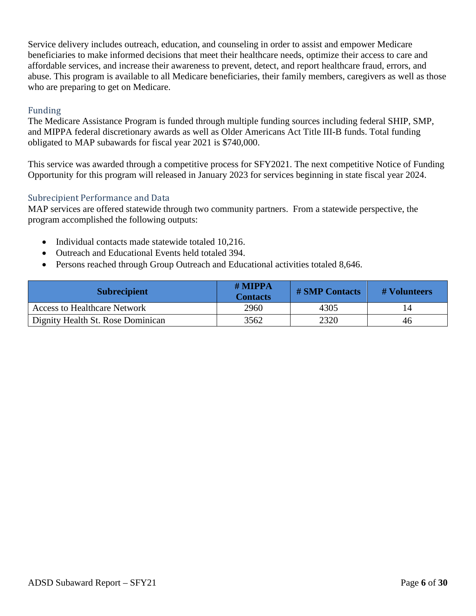Service delivery includes outreach, education, and counseling in order to assist and empower Medicare beneficiaries to make informed decisions that meet their healthcare needs, optimize their access to care and affordable services, and increase their awareness to prevent, detect, and report healthcare fraud, errors, and abuse. This program is available to all Medicare beneficiaries, their family members, caregivers as well as those who are preparing to get on Medicare.

#### Funding

The Medicare Assistance Program is funded through multiple funding sources including federal SHIP, SMP, and MIPPA federal discretionary awards as well as Older Americans Act Title III-B funds. Total funding obligated to MAP subawards for fiscal year 2021 is \$740,000.

This service was awarded through a competitive process for SFY2021. The next competitive Notice of Funding Opportunity for this program will released in January 2023 for services beginning in state fiscal year 2024.

#### Subrecipient Performance and Data

MAP services are offered statewide through two community partners. From a statewide perspective, the program accomplished the following outputs:

- Individual contacts made statewide totaled 10,216.
- Outreach and Educational Events held totaled 394.
- Persons reached through Group Outreach and Educational activities totaled 8,646.

| <b>Subrecipient</b>                 | $#$ MIPPA<br><b>Contacts</b> | <b># SMP Contacts</b> | # Volunteers |
|-------------------------------------|------------------------------|-----------------------|--------------|
| <b>Access to Healthcare Network</b> | 2960                         | 4305                  |              |
| Dignity Health St. Rose Dominican   | 3562                         | 2320                  | 46           |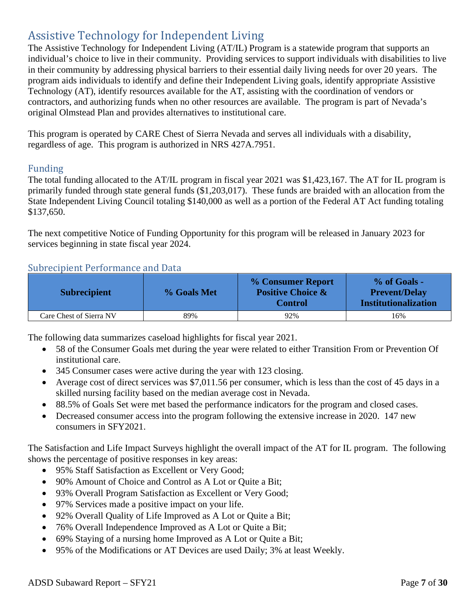## <span id="page-6-0"></span>Assistive Technology for Independent Living

The Assistive Technology for Independent Living (AT/IL) Program is a statewide program that supports an individual's choice to live in their community. Providing services to support individuals with disabilities to live in their community by addressing physical barriers to their essential daily living needs for over 20 years. The program aids individuals to identify and define their Independent Living goals, identify appropriate Assistive Technology (AT), identify resources available for the AT, assisting with the coordination of vendors or contractors, and authorizing funds when no other resources are available. The program is part of Nevada's original Olmstead Plan and provides alternatives to institutional care.

This program is operated by CARE Chest of Sierra Nevada and serves all individuals with a disability, regardless of age. This program is authorized in NRS 427A.7951.

#### Funding

The total funding allocated to the AT/IL program in fiscal year 2021 was \$1,423,167. The AT for IL program is primarily funded through state general funds (\$1,203,017). These funds are braided with an allocation from the State Independent Living Council totaling \$140,000 as well as a portion of the Federal AT Act funding totaling \$137,650.

The next competitive Notice of Funding Opportunity for this program will be released in January 2023 for services beginning in state fiscal year 2024.

#### Subrecipient Performance and Data

| <b>Subrecipient</b>     | % Goals Met | % Consumer Report<br><b>Positive Choice &amp;</b><br><b>Control</b> | % of Goals -<br><b>Prevent/Delay</b><br><b>Institutionalization</b> |
|-------------------------|-------------|---------------------------------------------------------------------|---------------------------------------------------------------------|
| Care Chest of Sierra NV | 89%         | 92%                                                                 | 16%                                                                 |

The following data summarizes caseload highlights for fiscal year 2021.

- 58 of the Consumer Goals met during the year were related to either Transition From or Prevention Of institutional care.
- 345 Consumer cases were active during the year with 123 closing.
- Average cost of direct services was \$7,011.56 per consumer, which is less than the cost of 45 days in a skilled nursing facility based on the median average cost in Nevada.
- 88.5% of Goals Set were met based the performance indicators for the program and closed cases.
- Decreased consumer access into the program following the extensive increase in 2020. 147 new consumers in SFY2021.

The Satisfaction and Life Impact Surveys highlight the overall impact of the AT for IL program. The following shows the percentage of positive responses in key areas:

- 95% Staff Satisfaction as Excellent or Very Good;
- 90% Amount of Choice and Control as A Lot or Quite a Bit;
- 93% Overall Program Satisfaction as Excellent or Very Good;
- 97% Services made a positive impact on your life.
- 92% Overall Quality of Life Improved as A Lot or Quite a Bit;
- 76% Overall Independence Improved as A Lot or Ouite a Bit;
- 69% Staying of a nursing home Improved as A Lot or Quite a Bit;
- 95% of the Modifications or AT Devices are used Daily; 3% at least Weekly.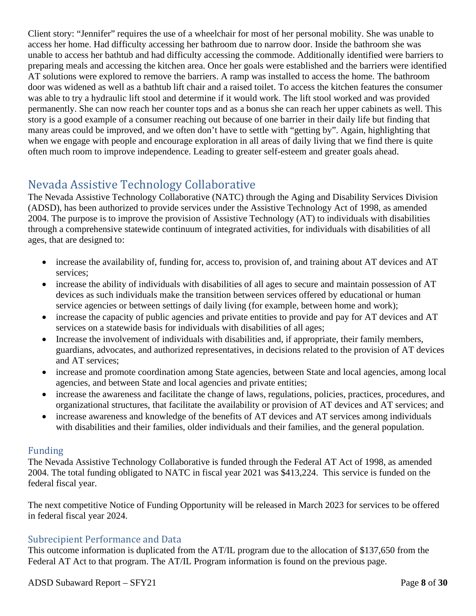Client story: "Jennifer" requires the use of a wheelchair for most of her personal mobility. She was unable to access her home. Had difficulty accessing her bathroom due to narrow door. Inside the bathroom she was unable to access her bathtub and had difficulty accessing the commode. Additionally identified were barriers to preparing meals and accessing the kitchen area. Once her goals were established and the barriers were identified AT solutions were explored to remove the barriers. A ramp was installed to access the home. The bathroom door was widened as well as a bathtub lift chair and a raised toilet. To access the kitchen features the consumer was able to try a hydraulic lift stool and determine if it would work. The lift stool worked and was provided permanently. She can now reach her counter tops and as a bonus she can reach her upper cabinets as well. This story is a good example of a consumer reaching out because of one barrier in their daily life but finding that many areas could be improved, and we often don't have to settle with "getting by". Again, highlighting that when we engage with people and encourage exploration in all areas of daily living that we find there is quite often much room to improve independence. Leading to greater self-esteem and greater goals ahead.

## <span id="page-7-0"></span>Nevada Assistive Technology Collaborative

The Nevada Assistive Technology Collaborative (NATC) through the Aging and Disability Services Division (ADSD), has been authorized to provide services under the Assistive Technology Act of 1998, as amended 2004. The purpose is to improve the provision of Assistive Technology (AT) to individuals with disabilities through a comprehensive statewide continuum of integrated activities, for individuals with disabilities of all ages, that are designed to:

- increase the availability of, funding for, access to, provision of, and training about AT devices and AT services;
- increase the ability of individuals with disabilities of all ages to secure and maintain possession of AT devices as such individuals make the transition between services offered by educational or human service agencies or between settings of daily living (for example, between home and work);
- increase the capacity of public agencies and private entities to provide and pay for AT devices and AT services on a statewide basis for individuals with disabilities of all ages;
- Increase the involvement of individuals with disabilities and, if appropriate, their family members, guardians, advocates, and authorized representatives, in decisions related to the provision of AT devices and AT services;
- increase and promote coordination among State agencies, between State and local agencies, among local agencies, and between State and local agencies and private entities;
- increase the awareness and facilitate the change of laws, regulations, policies, practices, procedures, and organizational structures, that facilitate the availability or provision of AT devices and AT services; and
- increase awareness and knowledge of the benefits of AT devices and AT services among individuals with disabilities and their families, older individuals and their families, and the general population.

#### Funding

The Nevada Assistive Technology Collaborative is funded through the Federal AT Act of 1998, as amended 2004. The total funding obligated to NATC in fiscal year 2021 was \$413,224. This service is funded on the federal fiscal year.

The next competitive Notice of Funding Opportunity will be released in March 2023 for services to be offered in federal fiscal year 2024.

#### Subrecipient Performance and Data

This outcome information is duplicated from the AT/IL program due to the allocation of \$137,650 from the Federal AT Act to that program. The AT/IL Program information is found on the previous page.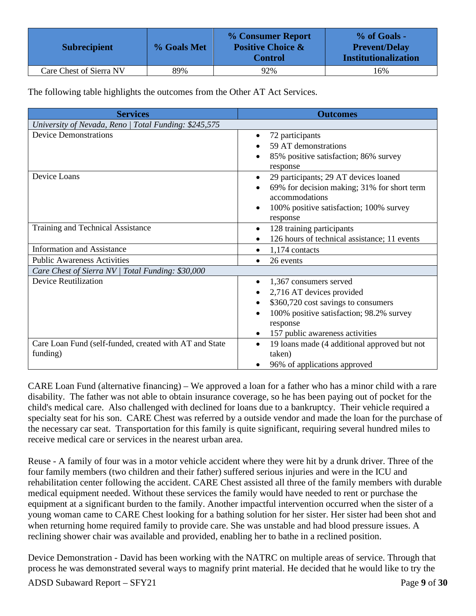| <b>Subrecipient</b>     | % Goals Met | % Consumer Report<br><b>Positive Choice &amp;</b><br><b>Control</b> | % of Goals -<br><b>Prevent/Delay</b><br><b>Institutionalization</b> |
|-------------------------|-------------|---------------------------------------------------------------------|---------------------------------------------------------------------|
| Care Chest of Sierra NV | 89%         | 92%                                                                 | 16%                                                                 |

The following table highlights the outcomes from the Other AT Act Services.

| <b>Services</b>                                        | <b>Outcomes</b>                                               |
|--------------------------------------------------------|---------------------------------------------------------------|
| University of Nevada, Reno   Total Funding: \$245,575  |                                                               |
| <b>Device Demonstrations</b>                           | 72 participants                                               |
|                                                        | 59 AT demonstrations                                          |
|                                                        | 85% positive satisfaction; 86% survey                         |
|                                                        | response                                                      |
| Device Loans                                           | 29 participants; 29 AT devices loaned                         |
|                                                        | 69% for decision making; 31% for short term<br>accommodations |
|                                                        | 100% positive satisfaction; 100% survey                       |
|                                                        | response                                                      |
| Training and Technical Assistance                      | 128 training participants<br>$\bullet$                        |
|                                                        | 126 hours of technical assistance; 11 events<br>$\bullet$     |
| <b>Information and Assistance</b>                      | 1,174 contacts<br>$\bullet$                                   |
| <b>Public Awareness Activities</b>                     | 26 events<br>$\bullet$                                        |
| Care Chest of Sierra NV   Total Funding: \$30,000      |                                                               |
| <b>Device Reutilization</b>                            | 1,367 consumers served<br>٠                                   |
|                                                        | 2,716 AT devices provided                                     |
|                                                        | \$360,720 cost savings to consumers<br>$\bullet$              |
|                                                        | 100% positive satisfaction; 98.2% survey                      |
|                                                        | response                                                      |
|                                                        | 157 public awareness activities<br>$\bullet$                  |
| Care Loan Fund (self-funded, created with AT and State | 19 loans made (4 additional approved but not<br>$\bullet$     |
| funding)                                               | taken)                                                        |
|                                                        | 96% of applications approved                                  |

CARE Loan Fund (alternative financing) – We approved a loan for a father who has a minor child with a rare disability. The father was not able to obtain insurance coverage, so he has been paying out of pocket for the child's medical care. Also challenged with declined for loans due to a bankruptcy. Their vehicle required a specialty seat for his son. CARE Chest was referred by a outside vendor and made the loan for the purchase of the necessary car seat. Transportation for this family is quite significant, requiring several hundred miles to receive medical care or services in the nearest urban area.

Reuse - A family of four was in a motor vehicle accident where they were hit by a drunk driver. Three of the four family members (two children and their father) suffered serious injuries and were in the ICU and rehabilitation center following the accident. CARE Chest assisted all three of the family members with durable medical equipment needed. Without these services the family would have needed to rent or purchase the equipment at a significant burden to the family. Another impactful intervention occurred when the sister of a young woman came to CARE Chest looking for a bathing solution for her sister. Her sister had been shot and when returning home required family to provide care. She was unstable and had blood pressure issues. A reclining shower chair was available and provided, enabling her to bathe in a reclined position.

Device Demonstration - David has been working with the NATRC on multiple areas of service. Through that process he was demonstrated several ways to magnify print material. He decided that he would like to try the

ADSD Subaward Report – SFY21 Page 9 of 30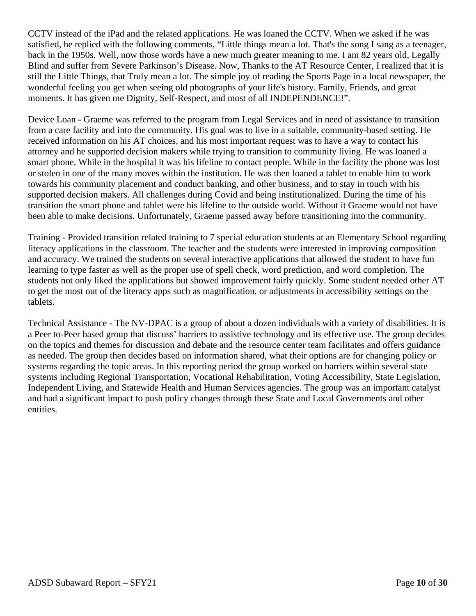CCTV instead of the iPad and the related applications. He was loaned the CCTV. When we asked if he was satisfied, he replied with the following comments, "Little things mean a lot. That's the song I sang as a teenager, back in the 1950s. Well, now those words have a new much greater meaning to me. I am 82 years old, Legally Blind and suffer from Severe Parkinson's Disease. Now, Thanks to the AT Resource Center, I realized that it is still the Little Things, that Truly mean a lot. The simple joy of reading the Sports Page in a local newspaper, the wonderful feeling you get when seeing old photographs of your life's history. Family, Friends, and great moments. It has given me Dignity, Self-Respect, and most of all INDEPENDENCE!".

Device Loan - Graeme was referred to the program from Legal Services and in need of assistance to transition from a care facility and into the community. His goal was to live in a suitable, community-based setting. He received information on his AT choices, and his most important request was to have a way to contact his attorney and he supported decision makers while trying to transition to community living. He was loaned a smart phone. While in the hospital it was his lifeline to contact people. While in the facility the phone was lost or stolen in one of the many moves within the institution. He was then loaned a tablet to enable him to work towards his community placement and conduct banking, and other business, and to stay in touch with his supported decision makers. All challenges during Covid and being institutionalized. During the time of his transition the smart phone and tablet were his lifeline to the outside world. Without it Graeme would not have been able to make decisions. Unfortunately, Graeme passed away before transitioning into the community.

Training - Provided transition related training to 7 special education students at an Elementary School regarding literacy applications in the classroom. The teacher and the students were interested in improving composition and accuracy. We trained the students on several interactive applications that allowed the student to have fun learning to type faster as well as the proper use of spell check, word prediction, and word completion. The students not only liked the applications but showed improvement fairly quickly. Some student needed other AT to get the most out of the literacy apps such as magnification, or adjustments in accessibility settings on the tablets.

Technical Assistance - The NV-DPAC is a group of about a dozen individuals with a variety of disabilities. It is a Peer to-Peer based group that discuss' barriers to assistive technology and its effective use. The group decides on the topics and themes for discussion and debate and the resource center team facilitates and offers guidance as needed. The group then decides based on information shared, what their options are for changing policy or systems regarding the topic areas. In this reporting period the group worked on barriers within several state systems including Regional Transportation, Vocational Rehabilitation, Voting Accessibility, State Legislation, Independent Living, and Statewide Health and Human Services agencies. The group was an important catalyst and had a significant impact to push policy changes through these State and Local Governments and other entities.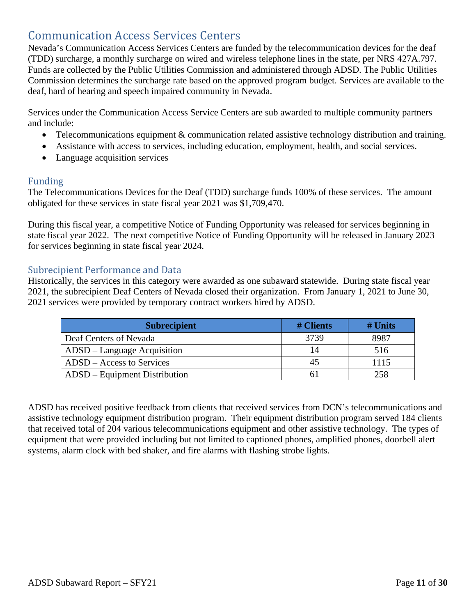## <span id="page-10-0"></span>Communication Access Services Centers

Nevada's Communication Access Services Centers are funded by the telecommunication devices for the deaf (TDD) surcharge, a monthly surcharge on wired and wireless telephone lines in the state, per NRS 427A.797. Funds are collected by the Public Utilities Commission and administered through ADSD. The Public Utilities Commission determines the surcharge rate based on the approved program budget. Services are available to the deaf, hard of hearing and speech impaired community in Nevada.

Services under the Communication Access Service Centers are sub awarded to multiple community partners and include:

- Telecommunications equipment & communication related assistive technology distribution and training.
- Assistance with access to services, including education, employment, health, and social services.
- Language acquisition services

#### Funding

The Telecommunications Devices for the Deaf (TDD) surcharge funds 100% of these services. The amount obligated for these services in state fiscal year 2021 was \$1,709,470.

During this fiscal year, a competitive Notice of Funding Opportunity was released for services beginning in state fiscal year 2022. The next competitive Notice of Funding Opportunity will be released in January 2023 for services beginning in state fiscal year 2024.

#### Subrecipient Performance and Data

Historically, the services in this category were awarded as one subaward statewide. During state fiscal year 2021, the subrecipient Deaf Centers of Nevada closed their organization. From January 1, 2021 to June 30, 2021 services were provided by temporary contract workers hired by ADSD.

| <b>Subrecipient</b>           | # Clients | $#$ Units |
|-------------------------------|-----------|-----------|
| Deaf Centers of Nevada        | 3739      | 8987      |
| ADSD – Language Acquisition   | 14        | 516       |
| $ADSD - Access$ to Services   | 45        | 1115      |
| ADSD – Equipment Distribution |           | 258       |

ADSD has received positive feedback from clients that received services from DCN's telecommunications and assistive technology equipment distribution program. Their equipment distribution program served 184 clients that received total of 204 various telecommunications equipment and other assistive technology. The types of equipment that were provided including but not limited to captioned phones, amplified phones, doorbell alert systems, alarm clock with bed shaker, and fire alarms with flashing strobe lights.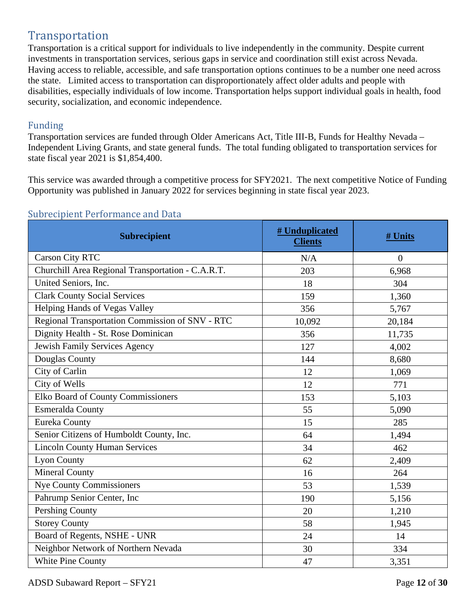## <span id="page-11-0"></span>Transportation

Transportation is a critical support for individuals to live independently in the community. Despite current investments in transportation services, serious gaps in service and coordination still exist across Nevada. Having access to reliable, accessible, and safe transportation options continues to be a number one need across the state. Limited access to transportation can disproportionately affect older adults and people with disabilities, especially individuals of low income. Transportation helps support individual goals in health, food security, socialization, and economic independence.

#### Funding

Transportation services are funded through Older Americans Act, Title III-B, Funds for Healthy Nevada – Independent Living Grants, and state general funds. The total funding obligated to transportation services for state fiscal year 2021 is \$1,854,400.

This service was awarded through a competitive process for SFY2021. The next competitive Notice of Funding Opportunity was published in January 2022 for services beginning in state fiscal year 2023.

| <b>Subrecipient</b>                               | # Unduplicated<br><b>Clients</b> | # Units  |
|---------------------------------------------------|----------------------------------|----------|
| <b>Carson City RTC</b>                            | N/A                              | $\theta$ |
| Churchill Area Regional Transportation - C.A.R.T. | 203                              | 6,968    |
| United Seniors, Inc.                              | 18                               | 304      |
| <b>Clark County Social Services</b>               | 159                              | 1,360    |
| Helping Hands of Vegas Valley                     | 356                              | 5,767    |
| Regional Transportation Commission of SNV - RTC   | 10,092                           | 20,184   |
| Dignity Health - St. Rose Dominican               | 356                              | 11,735   |
| Jewish Family Services Agency                     | 127                              | 4,002    |
| Douglas County                                    | 144                              | 8,680    |
| City of Carlin                                    | 12                               | 1,069    |
| City of Wells                                     | 12                               | 771      |
| Elko Board of County Commissioners                | 153                              | 5,103    |
| Esmeralda County                                  | 55                               | 5,090    |
| <b>Eureka County</b>                              | 15                               | 285      |
| Senior Citizens of Humboldt County, Inc.          | 64                               | 1,494    |
| <b>Lincoln County Human Services</b>              | 34                               | 462      |
| <b>Lyon County</b>                                | 62                               | 2,409    |
| Mineral County                                    | 16                               | 264      |
| <b>Nye County Commissioners</b>                   | 53                               | 1,539    |
| Pahrump Senior Center, Inc                        | 190                              | 5,156    |
| Pershing County                                   | 20                               | 1,210    |
| <b>Storey County</b>                              | 58                               | 1,945    |
| Board of Regents, NSHE - UNR                      | 24                               | 14       |
| Neighbor Network of Northern Nevada               | 30                               | 334      |
| White Pine County                                 | 47                               | 3,351    |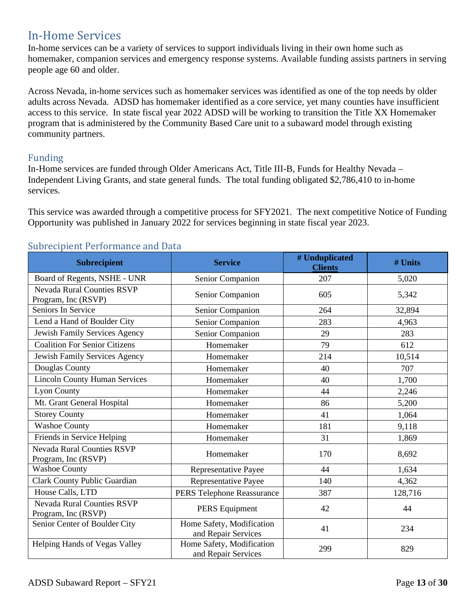## <span id="page-12-0"></span>In-Home Services

In-home services can be a variety of services to support individuals living in their own home such as homemaker, companion services and emergency response systems. Available funding assists partners in serving people age 60 and older.

Across Nevada, in-home services such as homemaker services was identified as one of the top needs by older adults across Nevada. ADSD has homemaker identified as a core service, yet many counties have insufficient access to this service. In state fiscal year 2022 ADSD will be working to transition the Title XX Homemaker program that is administered by the Community Based Care unit to a subaward model through existing community partners.

#### Funding

In-Home services are funded through Older Americans Act, Title III-B, Funds for Healthy Nevada – Independent Living Grants, and state general funds. The total funding obligated \$2,786,410 to in-home services.

This service was awarded through a competitive process for SFY2021. The next competitive Notice of Funding Opportunity was published in January 2022 for services beginning in state fiscal year 2023.

| pront r or ror mantoo al<br><b>Subrecipient</b>          | <b>Service</b>                                   | # Unduplicated<br><b>Clients</b> | # Units |
|----------------------------------------------------------|--------------------------------------------------|----------------------------------|---------|
| Board of Regents, NSHE - UNR                             | Senior Companion                                 | 207                              | 5,020   |
| <b>Nevada Rural Counties RSVP</b><br>Program, Inc (RSVP) | Senior Companion                                 | 605                              | 5,342   |
| Seniors In Service                                       | Senior Companion                                 | 264                              | 32,894  |
| Lend a Hand of Boulder City                              | Senior Companion                                 | 283                              | 4,963   |
| Jewish Family Services Agency                            | Senior Companion                                 | 29                               | 283     |
| <b>Coalition For Senior Citizens</b>                     | Homemaker                                        | 79                               | 612     |
| Jewish Family Services Agency                            | Homemaker                                        | 214                              | 10,514  |
| Douglas County                                           | Homemaker                                        | 40                               | 707     |
| <b>Lincoln County Human Services</b>                     | Homemaker                                        | 40                               | 1,700   |
| <b>Lyon County</b>                                       | Homemaker                                        | 44                               | 2,246   |
| Mt. Grant General Hospital                               | Homemaker                                        | 86                               | 5,200   |
| <b>Storey County</b>                                     | Homemaker                                        | 41                               | 1,064   |
| <b>Washoe County</b>                                     | Homemaker                                        | 181                              | 9,118   |
| Friends in Service Helping                               | Homemaker                                        | 31                               | 1,869   |
| <b>Nevada Rural Counties RSVP</b><br>Program, Inc (RSVP) | Homemaker                                        | 170                              | 8,692   |
| <b>Washoe County</b>                                     | Representative Payee                             | 44                               | 1,634   |
| <b>Clark County Public Guardian</b>                      | Representative Payee                             | 140                              | 4,362   |
| House Calls, LTD                                         | PERS Telephone Reassurance                       | 387                              | 128,716 |
| <b>Nevada Rural Counties RSVP</b><br>Program, Inc (RSVP) | PERS Equipment                                   | 42                               | 44      |
| Senior Center of Boulder City                            | Home Safety, Modification<br>and Repair Services | 41                               | 234     |
| Helping Hands of Vegas Valley                            | Home Safety, Modification<br>and Repair Services | 299                              | 829     |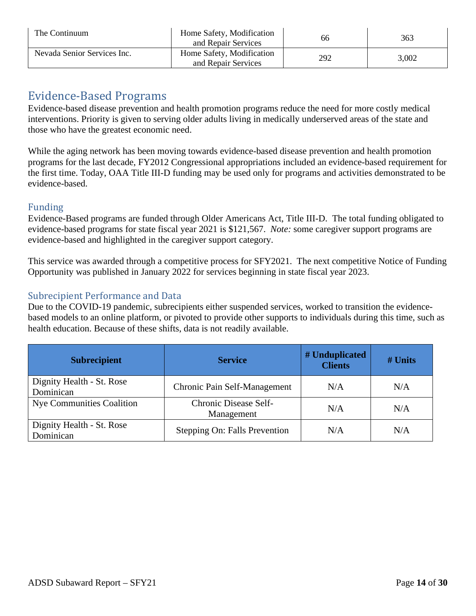| The Continuum               | Home Safety, Modification<br>and Repair Services | 66  | 363   |
|-----------------------------|--------------------------------------------------|-----|-------|
| Nevada Senior Services Inc. | Home Safety, Modification<br>and Repair Services | 292 | 3,002 |

## <span id="page-13-0"></span>Evidence-Based Programs

Evidence-based disease prevention and health promotion programs reduce the need for more costly medical interventions. Priority is given to serving older adults living in medically underserved areas of the state and those who have the greatest economic need.

While the aging network has been moving towards evidence-based disease prevention and health promotion programs for the last decade, FY2012 Congressional appropriations included an evidence-based requirement for the first time. Today, OAA Title III-D funding may be used only for programs and activities demonstrated to be evidence-based.

#### Funding

Evidence-Based programs are funded through Older Americans Act, Title III-D. The total funding obligated to evidence-based programs for state fiscal year 2021 is \$121,567. *Note:* some caregiver support programs are evidence-based and highlighted in the caregiver support category.

This service was awarded through a competitive process for SFY2021. The next competitive Notice of Funding Opportunity was published in January 2022 for services beginning in state fiscal year 2023.

#### Subrecipient Performance and Data

Due to the COVID-19 pandemic, subrecipients either suspended services, worked to transition the evidencebased models to an online platform, or pivoted to provide other supports to individuals during this time, such as health education. Because of these shifts, data is not readily available.

| <b>Subrecipient</b>                    | <b>Service</b>                      | # Unduplicated<br><b>Clients</b> | $#$ Units |
|----------------------------------------|-------------------------------------|----------------------------------|-----------|
| Dignity Health - St. Rose<br>Dominican | Chronic Pain Self-Management        | N/A                              | N/A       |
| <b>Nye Communities Coalition</b>       | Chronic Disease Self-<br>Management | N/A                              | N/A       |
| Dignity Health - St. Rose<br>Dominican | Stepping On: Falls Prevention       | N/A                              | N/A       |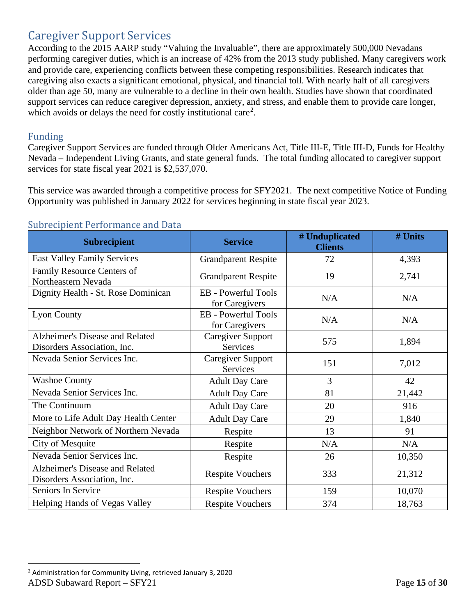## <span id="page-14-0"></span>Caregiver Support Services

According to the 2015 AARP study "Valuing the Invaluable", there are approximately 500,000 Nevadans performing caregiver duties, which is an increase of 42% from the 2013 study published. Many caregivers work and provide care, experiencing conflicts between these competing responsibilities. Research indicates that caregiving also exacts a significant emotional, physical, and financial toll. With nearly half of all caregivers older than age 50, many are vulnerable to a decline in their own health. Studies have shown that coordinated support services can reduce caregiver depression, anxiety, and stress, and enable them to provide care longer, which avoids or delays the need for costly institutional care<sup>[2](#page-14-1)</sup>.

#### Funding

Caregiver Support Services are funded through Older Americans Act, Title III-E, Title III-D, Funds for Healthy Nevada – Independent Living Grants, and state general funds. The total funding allocated to caregiver support services for state fiscal year 2021 is \$2,537,070.

This service was awarded through a competitive process for SFY2021. The next competitive Notice of Funding Opportunity was published in January 2022 for services beginning in state fiscal year 2023.

| <b>Subrecipient</b>                                            | <b>Service</b>                               | # Unduplicated<br><b>Clients</b> | # Units |
|----------------------------------------------------------------|----------------------------------------------|----------------------------------|---------|
| <b>East Valley Family Services</b>                             | <b>Grandparent Respite</b>                   | 72                               | 4,393   |
| Family Resource Centers of<br>Northeastern Nevada              | <b>Grandparent Respite</b>                   | 19                               | 2,741   |
| Dignity Health - St. Rose Dominican                            | <b>EB</b> - Powerful Tools<br>for Caregivers | N/A                              | N/A     |
| <b>Lyon County</b>                                             | <b>EB</b> - Powerful Tools<br>for Caregivers | N/A                              | N/A     |
| Alzheimer's Disease and Related<br>Disorders Association, Inc. | Caregiver Support<br><b>Services</b>         | 575                              | 1,894   |
| Nevada Senior Services Inc.                                    | Caregiver Support<br><b>Services</b>         | 151                              | 7,012   |
| <b>Washoe County</b>                                           | <b>Adult Day Care</b>                        | 3                                | 42      |
| Nevada Senior Services Inc.                                    | <b>Adult Day Care</b>                        | 81                               | 21,442  |
| The Continuum                                                  | <b>Adult Day Care</b>                        | 20                               | 916     |
| More to Life Adult Day Health Center                           | <b>Adult Day Care</b>                        | 29                               | 1,840   |
| Neighbor Network of Northern Nevada                            | Respite                                      | 13                               | 91      |
| City of Mesquite                                               | Respite                                      | N/A                              | N/A     |
| Nevada Senior Services Inc.                                    | Respite                                      | 26                               | 10,350  |
| Alzheimer's Disease and Related<br>Disorders Association, Inc. | <b>Respite Vouchers</b>                      | 333                              | 21,312  |
| Seniors In Service                                             | <b>Respite Vouchers</b>                      | 159                              | 10,070  |
| Helping Hands of Vegas Valley                                  | <b>Respite Vouchers</b>                      | 374                              | 18,763  |

<span id="page-14-1"></span>ADSD Subaward Report – SFY21 **Page 15** of 30 <sup>2</sup> Administration for Community Living, retrieved January 3, 2020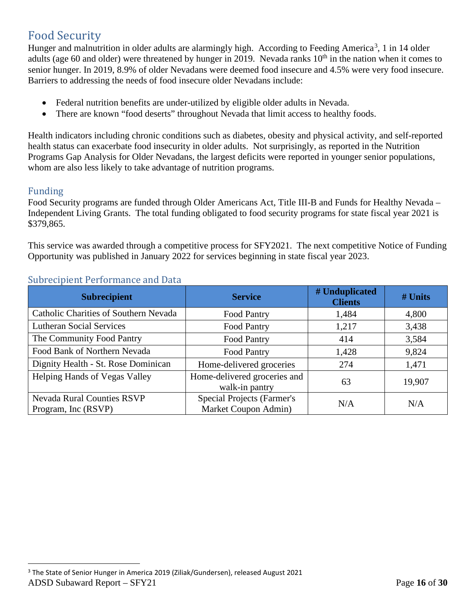## <span id="page-15-0"></span>Food Security

Hunger and malnutrition in older adults are alarmingly high. According to Feeding America<sup>[3](#page-15-1)</sup>, 1 in 14 older adults (age 60 and older) were threatened by hunger in 2019. Nevada ranks  $10<sup>th</sup>$  in the nation when it comes to senior hunger. In 2019, 8.9% of older Nevadans were deemed food insecure and 4.5% were very food insecure. Barriers to addressing the needs of food insecure older Nevadans include:

- Federal nutrition benefits are under-utilized by eligible older adults in Nevada.
- There are known "food deserts" throughout Nevada that limit access to healthy foods.

Health indicators including chronic conditions such as diabetes, obesity and physical activity, and self-reported health status can exacerbate food insecurity in older adults. Not surprisingly, as reported in the Nutrition Programs Gap Analysis for Older Nevadans, the largest deficits were reported in younger senior populations, whom are also less likely to take advantage of nutrition programs.

#### Funding

Food Security programs are funded through Older Americans Act, Title III-B and Funds for Healthy Nevada – Independent Living Grants. The total funding obligated to food security programs for state fiscal year 2021 is \$379,865.

This service was awarded through a competitive process for SFY2021. The next competitive Notice of Funding Opportunity was published in January 2022 for services beginning in state fiscal year 2023.

| <b>Subrecipient</b>                                      | <b>Service</b>                                     | # Unduplicated<br><b>Clients</b> | # Units |
|----------------------------------------------------------|----------------------------------------------------|----------------------------------|---------|
| Catholic Charities of Southern Nevada                    | Food Pantry                                        | 1,484                            | 4,800   |
| <b>Lutheran Social Services</b>                          | Food Pantry                                        | 1,217                            | 3,438   |
| The Community Food Pantry                                | Food Pantry                                        | 414                              | 3,584   |
| Food Bank of Northern Nevada                             | Food Pantry                                        | 1,428                            | 9,824   |
| Dignity Health - St. Rose Dominican                      | Home-delivered groceries                           | 274                              | 1,471   |
| Helping Hands of Vegas Valley                            | Home-delivered groceries and<br>walk-in pantry     | 63                               | 19,907  |
| <b>Nevada Rural Counties RSVP</b><br>Program, Inc (RSVP) | Special Projects (Farmer's<br>Market Coupon Admin) | N/A                              | N/A     |

<span id="page-15-1"></span>ADSD Subaward Report – SFY21 **Page 16** of 30 <sup>3</sup> The State of Senior Hunger in America 2019 (Ziliak/Gundersen), released August 2021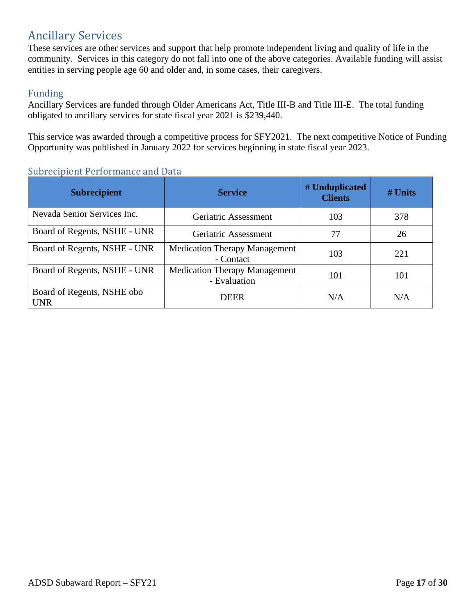## <span id="page-16-0"></span>Ancillary Services

These services are other services and support that help promote independent living and quality of life in the community. Services in this category do not fall into one of the above categories. Available funding will assist entities in serving people age 60 and older and, in some cases, their caregivers.

#### Funding

Ancillary Services are funded through Older Americans Act, Title III-B and Title III-E. The total funding obligated to ancillary services for state fiscal year 2021 is \$239,440.

This service was awarded through a competitive process for SFY2021. The next competitive Notice of Funding Opportunity was published in January 2022 for services beginning in state fiscal year 2023.

| <b>Subrecipient</b>                      | <b>Service</b>                                       | # Unduplicated<br><b>Clients</b> | $#$ Units |
|------------------------------------------|------------------------------------------------------|----------------------------------|-----------|
| Nevada Senior Services Inc.              | Geriatric Assessment                                 | 103                              | 378       |
| Board of Regents, NSHE - UNR             | Geriatric Assessment                                 | 77                               | 26        |
| Board of Regents, NSHE - UNR             | <b>Medication Therapy Management</b><br>- Contact    | 103                              | 221       |
| Board of Regents, NSHE - UNR             | <b>Medication Therapy Management</b><br>- Evaluation | 101                              | 101       |
| Board of Regents, NSHE obo<br><b>UNR</b> | <b>DEER</b>                                          | N/A                              | N/A       |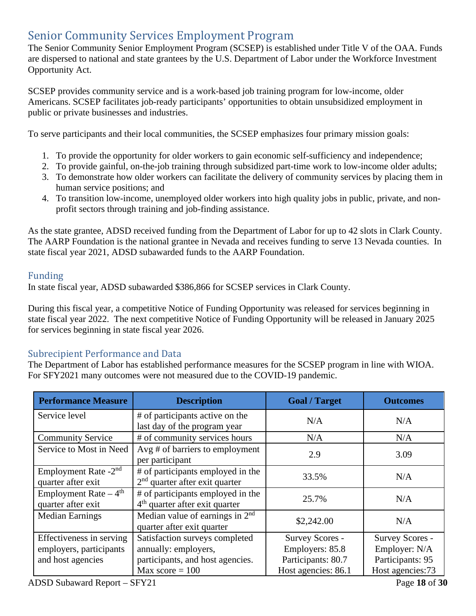## <span id="page-17-0"></span>Senior Community Services Employment Program

The Senior Community Senior Employment Program (SCSEP) is established under Title V of the OAA. Funds are dispersed to national and state grantees by the U.S. Department of Labor under the Workforce Investment Opportunity Act.

SCSEP provides community service and is a work-based job training program for low-income, older Americans. SCSEP facilitates job-ready participants' opportunities to obtain unsubsidized employment in public or private businesses and industries.

To serve participants and their local communities, the SCSEP emphasizes four primary mission goals:

- 1. To provide the opportunity for older workers to gain economic self-sufficiency and independence;
- 2. To provide gainful, on-the-job training through subsidized part-time work to low-income older adults;
- 3. To demonstrate how older workers can facilitate the delivery of community services by placing them in human service positions; and
- 4. To transition low-income, unemployed older workers into high quality jobs in public, private, and nonprofit sectors through training and job-finding assistance.

As the state grantee, ADSD received funding from the Department of Labor for up to 42 slots in Clark County. The AARP Foundation is the national grantee in Nevada and receives funding to serve 13 Nevada counties. In state fiscal year 2021, ADSD subawarded funds to the AARP Foundation.

#### Funding

In state fiscal year, ADSD subawarded \$386,866 for SCSEP services in Clark County.

During this fiscal year, a competitive Notice of Funding Opportunity was released for services beginning in state fiscal year 2022. The next competitive Notice of Funding Opportunity will be released in January 2025 for services beginning in state fiscal year 2026.

#### Subrecipient Performance and Data

The Department of Labor has established performance measures for the SCSEP program in line with WIOA. For SFY2021 many outcomes were not measured due to the COVID-19 pandemic.

| <b>Performance Measure</b>                                               | <b>Description</b>                                                                         | <b>Goal / Target</b>                                     | <b>Outcomes</b>                                      |
|--------------------------------------------------------------------------|--------------------------------------------------------------------------------------------|----------------------------------------------------------|------------------------------------------------------|
| Service level                                                            | # of participants active on the<br>last day of the program year                            | N/A                                                      | N/A                                                  |
| <b>Community Service</b>                                                 | # of community services hours                                                              | N/A                                                      | N/A                                                  |
| Service to Most in Need                                                  | $Avg \# of barriers$ to employment<br>per participant                                      | 2.9                                                      | 3.09                                                 |
| Employment Rate $-2nd$<br>quarter after exit                             | # of participants employed in the<br>$2nd$ quarter after exit quarter                      | 33.5%                                                    | N/A                                                  |
| Employment Rate $-4$ <sup>th</sup><br>quarter after exit                 | # of participants employed in the<br>$4th$ quarter after exit quarter                      | 25.7%                                                    | N/A                                                  |
| <b>Median Earnings</b>                                                   | Median value of earnings in $2nd$<br>quarter after exit quarter                            | \$2,242.00                                               | N/A                                                  |
| Effectiveness in serving<br>employers, participants<br>and host agencies | Satisfaction surveys completed<br>annually: employers,<br>participants, and host agencies. | Survey Scores -<br>Employers: 85.8<br>Participants: 80.7 | Survey Scores -<br>Employer: N/A<br>Participants: 95 |
|                                                                          | Max score $= 100$                                                                          | Host agencies: 86.1                                      | Host agencies:73                                     |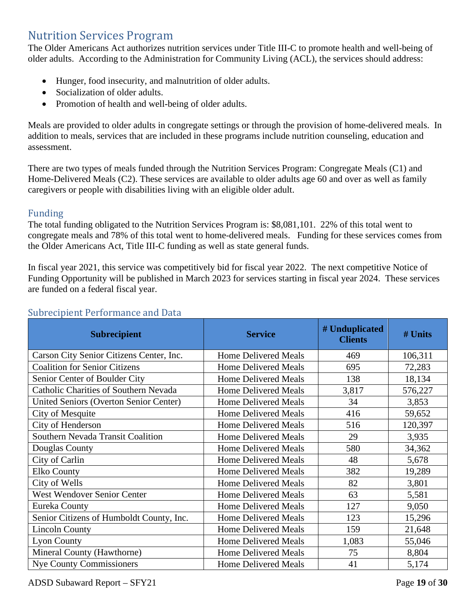### <span id="page-18-0"></span>Nutrition Services Program

The Older Americans Act authorizes nutrition services under Title III-C to promote health and well-being of older adults. According to the Administration for Community Living (ACL), the services should address:

- Hunger, food insecurity, and malnutrition of older adults.
- Socialization of older adults.
- Promotion of health and well-being of older adults.

Meals are provided to older adults in congregate settings or through the provision of home-delivered meals. In addition to meals, services that are included in these programs include nutrition counseling, education and assessment.

There are two types of meals funded through the Nutrition Services Program: Congregate Meals (C1) and Home-Delivered Meals (C2). These services are available to older adults age 60 and over as well as family caregivers or people with disabilities living with an eligible older adult.

#### Funding

The total funding obligated to the Nutrition Services Program is: \$8,081,101. 22% of this total went to congregate meals and 78% of this total went to home-delivered meals. Funding for these services comes from the Older Americans Act, Title III-C funding as well as state general funds.

In fiscal year 2021, this service was competitively bid for fiscal year 2022. The next competitive Notice of Funding Opportunity will be published in March 2023 for services starting in fiscal year 2024. These services are funded on a federal fiscal year.

| <b>Subrecipient</b>                           | <b>Service</b>              | # Unduplicated<br><b>Clients</b> | # Units |
|-----------------------------------------------|-----------------------------|----------------------------------|---------|
| Carson City Senior Citizens Center, Inc.      | <b>Home Delivered Meals</b> | 469                              | 106,311 |
| <b>Coalition for Senior Citizens</b>          | <b>Home Delivered Meals</b> | 695                              | 72,283  |
| Senior Center of Boulder City                 | <b>Home Delivered Meals</b> | 138                              | 18,134  |
| <b>Catholic Charities of Southern Nevada</b>  | <b>Home Delivered Meals</b> | 3,817                            | 576,227 |
| <b>United Seniors (Overton Senior Center)</b> | <b>Home Delivered Meals</b> | 34                               | 3,853   |
| City of Mesquite                              | <b>Home Delivered Meals</b> | 416                              | 59,652  |
| City of Henderson                             | <b>Home Delivered Meals</b> | 516                              | 120,397 |
| Southern Nevada Transit Coalition             | <b>Home Delivered Meals</b> | 29                               | 3,935   |
| Douglas County                                | <b>Home Delivered Meals</b> | 580                              | 34,362  |
| City of Carlin                                | <b>Home Delivered Meals</b> | 48                               | 5,678   |
| <b>Elko County</b>                            | <b>Home Delivered Meals</b> | 382                              | 19,289  |
| City of Wells                                 | <b>Home Delivered Meals</b> | 82                               | 3,801   |
| <b>West Wendover Senior Center</b>            | <b>Home Delivered Meals</b> | 63                               | 5,581   |
| Eureka County                                 | <b>Home Delivered Meals</b> | 127                              | 9,050   |
| Senior Citizens of Humboldt County, Inc.      | <b>Home Delivered Meals</b> | 123                              | 15,296  |
| <b>Lincoln County</b>                         | <b>Home Delivered Meals</b> | 159                              | 21,648  |
| <b>Lyon County</b>                            | Home Delivered Meals        | 1,083                            | 55,046  |
| Mineral County (Hawthorne)                    | <b>Home Delivered Meals</b> | 75                               | 8,804   |
| <b>Nye County Commissioners</b>               | <b>Home Delivered Meals</b> | 41                               | 5,174   |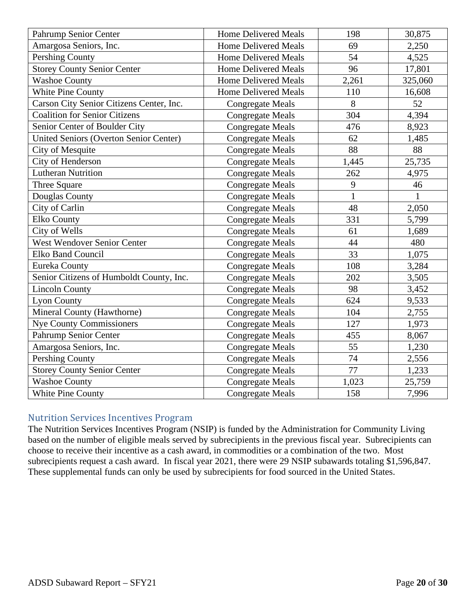| Pahrump Senior Center                         | <b>Home Delivered Meals</b> | 198          | 30,875       |
|-----------------------------------------------|-----------------------------|--------------|--------------|
| Amargosa Seniors, Inc.                        | <b>Home Delivered Meals</b> | 69           | 2,250        |
| <b>Pershing County</b>                        | <b>Home Delivered Meals</b> | 54           | 4,525        |
| <b>Storey County Senior Center</b>            | <b>Home Delivered Meals</b> | 96           | 17,801       |
| Washoe County                                 | <b>Home Delivered Meals</b> | 2,261        | 325,060      |
| White Pine County                             | <b>Home Delivered Meals</b> | 110          | 16,608       |
| Carson City Senior Citizens Center, Inc.      | <b>Congregate Meals</b>     | 8            | 52           |
| <b>Coalition for Senior Citizens</b>          | <b>Congregate Meals</b>     | 304          | 4,394        |
| Senior Center of Boulder City                 | <b>Congregate Meals</b>     | 476          | 8,923        |
| <b>United Seniors (Overton Senior Center)</b> | <b>Congregate Meals</b>     | 62           | 1,485        |
| <b>City of Mesquite</b>                       | <b>Congregate Meals</b>     | 88           | 88           |
| City of Henderson                             | <b>Congregate Meals</b>     | 1,445        | 25,735       |
| <b>Lutheran Nutrition</b>                     | <b>Congregate Meals</b>     | 262          | 4,975        |
| Three Square                                  | <b>Congregate Meals</b>     | 9            | 46           |
| Douglas County                                | <b>Congregate Meals</b>     | $\mathbf{1}$ | $\mathbf{1}$ |
| City of Carlin                                | <b>Congregate Meals</b>     | 48           | 2,050        |
| <b>Elko County</b>                            | <b>Congregate Meals</b>     | 331          | 5,799        |
| City of Wells                                 | <b>Congregate Meals</b>     | 61           | 1,689        |
| <b>West Wendover Senior Center</b>            | <b>Congregate Meals</b>     | 44           | 480          |
| <b>Elko Band Council</b>                      | <b>Congregate Meals</b>     | 33           | 1,075        |
| Eureka County                                 | <b>Congregate Meals</b>     | 108          | 3,284        |
| Senior Citizens of Humboldt County, Inc.      | <b>Congregate Meals</b>     | 202          | 3,505        |
| <b>Lincoln County</b>                         | <b>Congregate Meals</b>     | 98           | 3,452        |
| <b>Lyon County</b>                            | <b>Congregate Meals</b>     | 624          | 9,533        |
| Mineral County (Hawthorne)                    | <b>Congregate Meals</b>     | 104          | 2,755        |
| <b>Nye County Commissioners</b>               | <b>Congregate Meals</b>     | 127          | 1,973        |
| Pahrump Senior Center                         | <b>Congregate Meals</b>     | 455          | 8,067        |
| Amargosa Seniors, Inc.                        | <b>Congregate Meals</b>     | 55           | 1,230        |
| <b>Pershing County</b>                        | <b>Congregate Meals</b>     | 74           | 2,556        |
| <b>Storey County Senior Center</b>            | <b>Congregate Meals</b>     | 77           | 1,233        |
| <b>Washoe County</b>                          | <b>Congregate Meals</b>     | 1,023        | 25,759       |
| White Pine County                             | <b>Congregate Meals</b>     | 158          | 7,996        |

#### Nutrition Services Incentives Program

The Nutrition Services Incentives Program (NSIP) is funded by the Administration for Community Living based on the number of eligible meals served by subrecipients in the previous fiscal year. Subrecipients can choose to receive their incentive as a cash award, in commodities or a combination of the two. Most subrecipients request a cash award. In fiscal year 2021, there were 29 NSIP subawards totaling \$1,596,847. These supplemental funds can only be used by subrecipients for food sourced in the United States.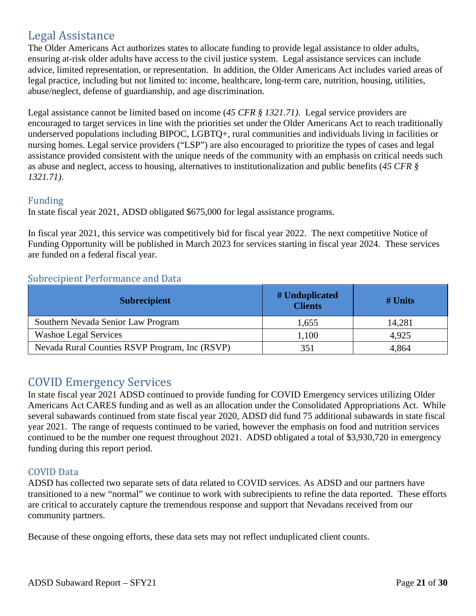## <span id="page-20-0"></span>Legal Assistance

The Older Americans Act authorizes states to allocate funding to provide legal assistance to older adults, ensuring at-risk older adults have access to the civil justice system. Legal assistance services can include advice, limited representation, or representation. In addition, the Older Americans Act includes varied areas of legal practice, including but not limited to: income, healthcare, long-term care, nutrition, housing, utilities, abuse/neglect, defense of guardianship, and age discrimination.

Legal assistance cannot be limited based on income (*45 CFR § 1321.71)*. Legal service providers are encouraged to target services in line with the priorities set under the Older Americans Act to reach traditionally underserved populations including BIPOC, LGBTQ+, rural communities and individuals living in facilities or nursing homes. Legal service providers ("LSP") are also encouraged to prioritize the types of cases and legal assistance provided consistent with the unique needs of the community with an emphasis on critical needs such as abuse and neglect, access to housing, alternatives to institutionalization and public benefits (*45 CFR § 1321.71)*.

#### Funding

In state fiscal year 2021, ADSD obligated \$675,000 for legal assistance programs.

In fiscal year 2021, this service was competitively bid for fiscal year 2022. The next competitive Notice of Funding Opportunity will be published in March 2023 for services starting in fiscal year 2024. These services are funded on a federal fiscal year.

#### Subrecipient Performance and Data

| <b>Subrecipient</b>                            | # Unduplicated<br><b>Clients</b> | $#$ Units |
|------------------------------------------------|----------------------------------|-----------|
| Southern Nevada Senior Law Program             | 1,655                            | 14,281    |
| <b>Washoe Legal Services</b>                   | 1,100                            | 4,925     |
| Nevada Rural Counties RSVP Program, Inc (RSVP) | 351                              | 4,864     |

## <span id="page-20-1"></span>COVID Emergency Services

In state fiscal year 2021 ADSD continued to provide funding for COVID Emergency services utilizing Older Americans Act CARES funding and as well as an allocation under the Consolidated Appropriations Act. While several subawards continued from state fiscal year 2020, ADSD did fund 75 additional subawards in state fiscal year 2021. The range of requests continued to be varied, however the emphasis on food and nutrition services continued to be the number one request throughout 2021. ADSD obligated a total of \$3,930,720 in emergency funding during this report period.

#### COVID Data

ADSD has collected two separate sets of data related to COVID services. As ADSD and our partners have transitioned to a new "normal" we continue to work with subrecipients to refine the data reported. These efforts are critical to accurately capture the tremendous response and support that Nevadans received from our community partners.

Because of these ongoing efforts, these data sets may not reflect unduplicated client counts.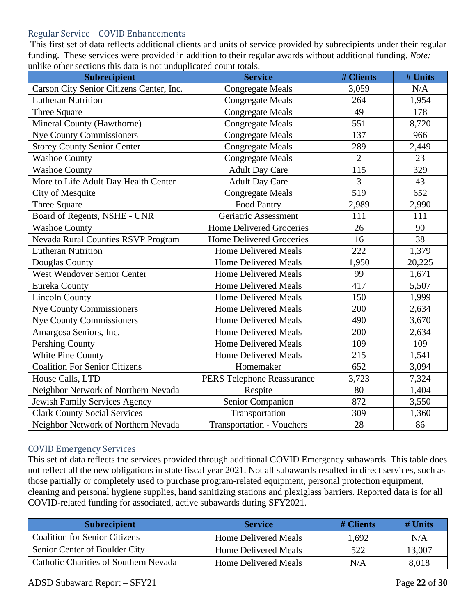#### Regular Service – COVID Enhancements

 This first set of data reflects additional clients and units of service provided by subrecipients under their regular funding. These services were provided in addition to their regular awards without additional funding. *Note:* unlike other sections this data is not unduplicated count totals.

| <b>Subrecipient</b>                       | <b>Service</b>                    | # Clients      | # Units |
|-------------------------------------------|-----------------------------------|----------------|---------|
| Carson City Senior Citizens Center, Inc.  | <b>Congregate Meals</b>           | 3,059          | N/A     |
| <b>Lutheran Nutrition</b>                 | <b>Congregate Meals</b>           | 264            | 1,954   |
| Three Square                              | Congregate Meals                  | 49             | 178     |
| Mineral County (Hawthorne)                | <b>Congregate Meals</b>           | 551            | 8,720   |
| <b>Nye County Commissioners</b>           | <b>Congregate Meals</b>           | 137            | 966     |
| <b>Storey County Senior Center</b>        | <b>Congregate Meals</b>           | 289            | 2,449   |
| <b>Washoe County</b>                      | <b>Congregate Meals</b>           | $\overline{2}$ | 23      |
| <b>Washoe County</b>                      | <b>Adult Day Care</b>             | 115            | 329     |
| More to Life Adult Day Health Center      | <b>Adult Day Care</b>             | 3              | 43      |
| City of Mesquite                          | <b>Congregate Meals</b>           | 519            | 652     |
| Three Square                              | Food Pantry                       | 2,989          | 2,990   |
| Board of Regents, NSHE - UNR              | Geriatric Assessment              | 111            | 111     |
| <b>Washoe County</b>                      | <b>Home Delivered Groceries</b>   | 26             | 90      |
| <b>Nevada Rural Counties RSVP Program</b> | <b>Home Delivered Groceries</b>   | 16             | 38      |
| <b>Lutheran Nutrition</b>                 | <b>Home Delivered Meals</b>       | 222            | 1,379   |
| Douglas County                            | <b>Home Delivered Meals</b>       | 1,950          | 20,225  |
| <b>West Wendover Senior Center</b>        | <b>Home Delivered Meals</b>       | 99             | 1,671   |
| Eureka County                             | <b>Home Delivered Meals</b>       | 417            | 5,507   |
| <b>Lincoln County</b>                     | <b>Home Delivered Meals</b>       | 150            | 1,999   |
| <b>Nye County Commissioners</b>           | <b>Home Delivered Meals</b>       | 200            | 2,634   |
| <b>Nye County Commissioners</b>           | <b>Home Delivered Meals</b>       | 490            | 3,670   |
| Amargosa Seniors, Inc.                    | <b>Home Delivered Meals</b>       | 200            | 2,634   |
| Pershing County                           | <b>Home Delivered Meals</b>       | 109            | 109     |
| White Pine County                         | <b>Home Delivered Meals</b>       | 215            | 1,541   |
| <b>Coalition For Senior Citizens</b>      | Homemaker                         | 652            | 3,094   |
| House Calls, LTD                          | <b>PERS Telephone Reassurance</b> | 3,723          | 7,324   |
| Neighbor Network of Northern Nevada       | Respite                           | 80             | 1,404   |
| <b>Jewish Family Services Agency</b>      | Senior Companion                  | 872            | 3,550   |
| <b>Clark County Social Services</b>       | Transportation                    | 309            | 1,360   |
| Neighbor Network of Northern Nevada       | <b>Transportation - Vouchers</b>  | 28             | 86      |

#### COVID Emergency Services

This set of data reflects the services provided through additional COVID Emergency subawards. This table does not reflect all the new obligations in state fiscal year 2021. Not all subawards resulted in direct services, such as those partially or completely used to purchase program-related equipment, personal protection equipment, cleaning and personal hygiene supplies, hand sanitizing stations and plexiglass barriers. Reported data is for all COVID-related funding for associated, active subawards during SFY2021.

| <b>Subrecipient</b>                   | <b>Service</b>              | $#$ Clients | $#$ Units |
|---------------------------------------|-----------------------------|-------------|-----------|
| <b>Coalition for Senior Citizens</b>  | <b>Home Delivered Meals</b> | 1.692       | N/A       |
| Senior Center of Boulder City         | <b>Home Delivered Meals</b> | 522         | 13,007    |
| Catholic Charities of Southern Nevada | <b>Home Delivered Meals</b> | N/A         | 8,018     |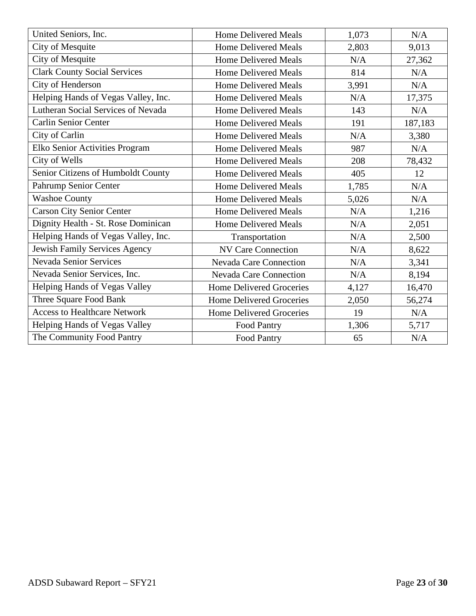| United Seniors, Inc.                | <b>Home Delivered Meals</b>     | 1,073 | N/A     |
|-------------------------------------|---------------------------------|-------|---------|
| City of Mesquite                    | <b>Home Delivered Meals</b>     | 2,803 | 9,013   |
| City of Mesquite                    | <b>Home Delivered Meals</b>     | N/A   | 27,362  |
| <b>Clark County Social Services</b> | <b>Home Delivered Meals</b>     | 814   | N/A     |
| City of Henderson                   | <b>Home Delivered Meals</b>     | 3,991 | N/A     |
| Helping Hands of Vegas Valley, Inc. | <b>Home Delivered Meals</b>     | N/A   | 17,375  |
| Lutheran Social Services of Nevada  | <b>Home Delivered Meals</b>     | 143   | N/A     |
| <b>Carlin Senior Center</b>         | <b>Home Delivered Meals</b>     | 191   | 187,183 |
| City of Carlin                      | <b>Home Delivered Meals</b>     | N/A   | 3,380   |
| Elko Senior Activities Program      | <b>Home Delivered Meals</b>     | 987   | N/A     |
| City of Wells                       | <b>Home Delivered Meals</b>     | 208   | 78,432  |
| Senior Citizens of Humboldt County  | <b>Home Delivered Meals</b>     | 405   | 12      |
| Pahrump Senior Center               | <b>Home Delivered Meals</b>     | 1,785 | N/A     |
| <b>Washoe County</b>                | <b>Home Delivered Meals</b>     | 5,026 | N/A     |
| <b>Carson City Senior Center</b>    | <b>Home Delivered Meals</b>     | N/A   | 1,216   |
| Dignity Health - St. Rose Dominican | <b>Home Delivered Meals</b>     | N/A   | 2,051   |
| Helping Hands of Vegas Valley, Inc. | Transportation                  | N/A   | 2,500   |
| Jewish Family Services Agency       | <b>NV Care Connection</b>       | N/A   | 8,622   |
| <b>Nevada Senior Services</b>       | <b>Nevada Care Connection</b>   | N/A   | 3,341   |
| Nevada Senior Services, Inc.        | <b>Nevada Care Connection</b>   | N/A   | 8,194   |
| Helping Hands of Vegas Valley       | <b>Home Delivered Groceries</b> | 4,127 | 16,470  |
| Three Square Food Bank              | <b>Home Delivered Groceries</b> | 2,050 | 56,274  |
| <b>Access to Healthcare Network</b> | <b>Home Delivered Groceries</b> | 19    | N/A     |
| Helping Hands of Vegas Valley       | Food Pantry                     | 1,306 | 5,717   |
| The Community Food Pantry           | <b>Food Pantry</b>              | 65    | N/A     |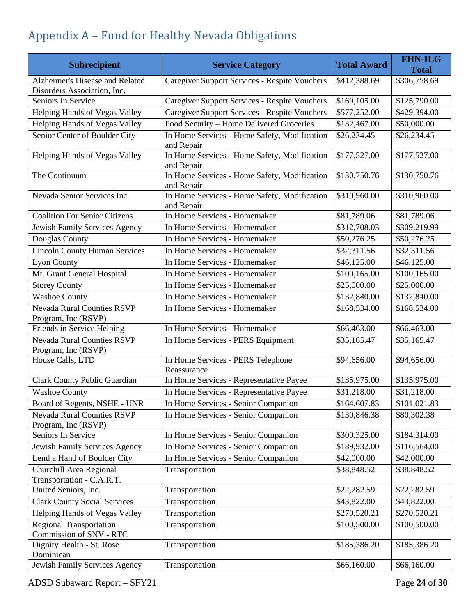# <span id="page-23-0"></span>Appendix A – Fund for Healthy Nevada Obligations

| <b>Subrecipient</b>                                            | <b>Service Category</b>                                    | <b>Total Award</b> | <b>FHN-ILG</b><br><b>Total</b> |
|----------------------------------------------------------------|------------------------------------------------------------|--------------------|--------------------------------|
| Alzheimer's Disease and Related<br>Disorders Association, Inc. | Caregiver Support Services - Respite Vouchers              | \$412,388.69       | \$306,758.69                   |
| Seniors In Service                                             | Caregiver Support Services - Respite Vouchers              | \$169,105.00       | \$125,790.00                   |
| Helping Hands of Vegas Valley                                  | Caregiver Support Services - Respite Vouchers              | \$577,252.00       | \$429,394.00                   |
| Helping Hands of Vegas Valley                                  | Food Security - Home Delivered Groceries                   | \$132,467.00       | \$50,000.00                    |
| Senior Center of Boulder City                                  | In Home Services - Home Safety, Modification<br>and Repair | \$26,234.45        | \$26,234.45                    |
| Helping Hands of Vegas Valley                                  | In Home Services - Home Safety, Modification<br>and Repair | \$177,527.00       | \$177,527.00                   |
| The Continuum                                                  | In Home Services - Home Safety, Modification<br>and Repair | \$130,750.76       | \$130,750.76                   |
| Nevada Senior Services Inc.                                    | In Home Services - Home Safety, Modification<br>and Repair | \$310,960.00       | \$310,960.00                   |
| <b>Coalition For Senior Citizens</b>                           | In Home Services - Homemaker                               | \$81,789.06        | \$81,789.06                    |
| Jewish Family Services Agency                                  | In Home Services - Homemaker                               | \$312,708.03       | \$309,219.99                   |
| Douglas County                                                 | In Home Services - Homemaker                               | \$50,276.25        | \$50,276.25                    |
| <b>Lincoln County Human Services</b>                           | In Home Services - Homemaker                               | \$32,311.56        | \$32,311.56                    |
| <b>Lyon County</b>                                             | In Home Services - Homemaker                               | \$46,125.00        | \$46,125.00                    |
| Mt. Grant General Hospital                                     | In Home Services - Homemaker                               | \$100,165.00       | \$100,165.00                   |
| <b>Storey County</b>                                           | In Home Services - Homemaker                               | \$25,000.00        | \$25,000.00                    |
| <b>Washoe County</b>                                           | In Home Services - Homemaker                               | \$132,840.00       | \$132,840.00                   |
| <b>Nevada Rural Counties RSVP</b><br>Program, Inc (RSVP)       | In Home Services - Homemaker                               | \$168,534.00       | \$168,534.00                   |
| Friends in Service Helping                                     | In Home Services - Homemaker                               | \$66,463.00        | \$66,463.00                    |
| <b>Nevada Rural Counties RSVP</b><br>Program, Inc (RSVP)       | In Home Services - PERS Equipment                          | \$35,165.47        | \$35,165.47                    |
| House Calls, LTD                                               | In Home Services - PERS Telephone<br>Reassurance           | \$94,656.00        | \$94,656.00                    |
| <b>Clark County Public Guardian</b>                            | In Home Services - Representative Payee                    | \$135,975.00       | \$135,975.00                   |
| <b>Washoe County</b>                                           | In Home Services - Representative Payee                    | \$31,218.00        | \$31,218.00                    |
| Board of Regents, NSHE - UNR                                   | In Home Services - Senior Companion                        | \$164,607.83       | \$101,021.83                   |
| <b>Nevada Rural Counties RSVP</b><br>Program, Inc (RSVP)       | In Home Services - Senior Companion                        | \$130,846.38       | \$80,302.38                    |
| Seniors In Service                                             | In Home Services - Senior Companion                        | \$300,325.00       | \$184,314.00                   |
| Jewish Family Services Agency                                  | In Home Services - Senior Companion                        | \$189,932.00       | \$116,564.00                   |
| Lend a Hand of Boulder City                                    | In Home Services - Senior Companion                        | \$42,000.00        | \$42,000.00                    |
| Churchill Area Regional<br>Transportation - C.A.R.T.           | Transportation                                             | \$38,848.52        | \$38,848.52                    |
| United Seniors, Inc.                                           | Transportation                                             | \$22,282.59        | \$22,282.59                    |
| <b>Clark County Social Services</b>                            | Transportation                                             | \$43,822.00        | \$43,822.00                    |
| Helping Hands of Vegas Valley                                  | Transportation                                             | \$270,520.21       | \$270,520.21                   |
| <b>Regional Transportation</b><br>Commission of SNV - RTC      | Transportation                                             | \$100,500.00       | \$100,500.00                   |
| Dignity Health - St. Rose<br>Dominican                         | Transportation                                             | \$185,386.20       | \$185,386.20                   |
| Jewish Family Services Agency                                  | Transportation                                             | \$66,160.00        | \$66,160.00                    |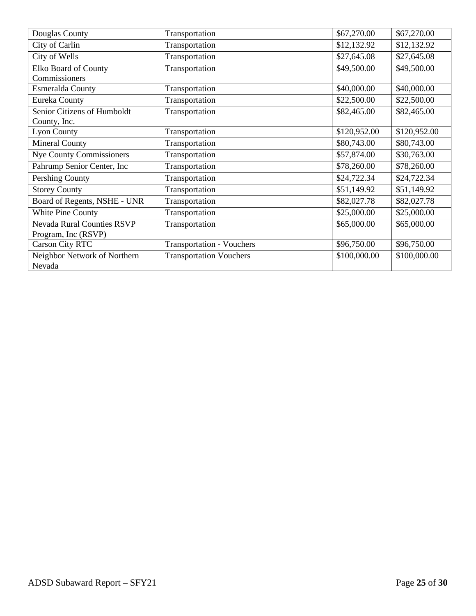| Douglas County                    | Transportation                   | \$67,270.00  | \$67,270.00  |
|-----------------------------------|----------------------------------|--------------|--------------|
| City of Carlin                    | Transportation                   | \$12,132.92  | \$12,132.92  |
| City of Wells                     | Transportation                   | \$27,645.08  | \$27,645.08  |
| Elko Board of County              | Transportation                   | \$49,500.00  | \$49,500.00  |
| Commissioners                     |                                  |              |              |
| Esmeralda County                  | Transportation                   | \$40,000.00  | \$40,000.00  |
| Eureka County                     | Transportation                   | \$22,500.00  | \$22,500.00  |
| Senior Citizens of Humboldt       | Transportation                   | \$82,465.00  | \$82,465.00  |
| County, Inc.                      |                                  |              |              |
| <b>Lyon County</b>                | Transportation                   | \$120,952.00 | \$120,952.00 |
| <b>Mineral County</b>             | Transportation                   | \$80,743.00  | \$80,743.00  |
| <b>Nye County Commissioners</b>   | Transportation                   | \$57,874.00  | \$30,763.00  |
| Pahrump Senior Center, Inc        | Transportation                   | \$78,260.00  | \$78,260.00  |
| Pershing County                   | Transportation                   | \$24,722.34  | \$24,722.34  |
| <b>Storey County</b>              | Transportation                   | \$51,149.92  | \$51,149.92  |
| Board of Regents, NSHE - UNR      | Transportation                   | \$82,027.78  | \$82,027.78  |
| White Pine County                 | Transportation                   | \$25,000.00  | \$25,000.00  |
| <b>Nevada Rural Counties RSVP</b> | Transportation                   | \$65,000.00  | \$65,000.00  |
| Program, Inc (RSVP)               |                                  |              |              |
| <b>Carson City RTC</b>            | <b>Transportation - Vouchers</b> | \$96,750.00  | \$96,750.00  |
| Neighbor Network of Northern      | <b>Transportation Vouchers</b>   | \$100,000.00 | \$100,000.00 |
| Nevada                            |                                  |              |              |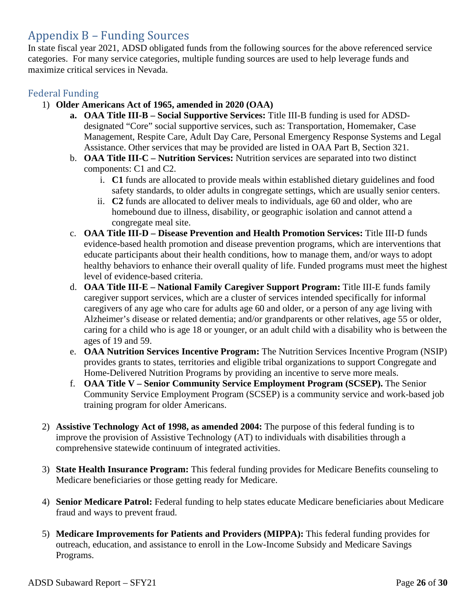## <span id="page-25-0"></span>Appendix B – Funding Sources

In state fiscal year 2021, ADSD obligated funds from the following sources for the above referenced service categories. For many service categories, multiple funding sources are used to help leverage funds and maximize critical services in Nevada.

#### Federal Funding

- 1) **Older Americans Act of 1965, amended in 2020 (OAA)**
	- **a. OAA Title III-B Social Supportive Services:** Title III-B funding is used for ADSDdesignated "Core" social supportive services, such as: Transportation, Homemaker, Case Management, Respite Care, Adult Day Care, Personal Emergency Response Systems and Legal Assistance. Other services that may be provided are listed in OAA Part B, Section 321.
	- b. **OAA Title III-C Nutrition Services:** Nutrition services are separated into two distinct components: C1 and C2.
		- i. **C1** funds are allocated to provide meals within established dietary guidelines and food safety standards, to older adults in congregate settings, which are usually senior centers.
		- ii. **C2** funds are allocated to deliver meals to individuals, age 60 and older, who are homebound due to illness, disability, or geographic isolation and cannot attend a congregate meal site.
	- c. **OAA Title III-D Disease Prevention and Health Promotion Services:** Title III-D funds evidence-based health promotion and disease prevention programs, which are interventions that educate participants about their health conditions, how to manage them, and/or ways to adopt healthy behaviors to enhance their overall quality of life. Funded programs must meet the highest level of evidence-based criteria.
	- d. **OAA Title III-E National Family Caregiver Support Program:** Title III-E funds family caregiver support services, which are a cluster of services intended specifically for informal caregivers of any age who care for adults age 60 and older, or a person of any age living with Alzheimer's disease or related dementia; and/or grandparents or other relatives, age 55 or older, caring for a child who is age 18 or younger, or an adult child with a disability who is between the ages of 19 and 59.
	- e. **OAA Nutrition Services Incentive Program:** The Nutrition Services Incentive Program (NSIP) provides grants to states, territories and eligible tribal organizations to support Congregate and Home-Delivered Nutrition Programs by providing an incentive to serve more meals.
	- f. **OAA Title V Senior Community Service Employment Program (SCSEP).** The Senior Community Service Employment Program (SCSEP) is a community service and work-based job training program for older Americans.
- 2) **Assistive Technology Act of 1998, as amended 2004:** The purpose of this federal funding is to improve the provision of Assistive Technology (AT) to individuals with disabilities through a comprehensive statewide continuum of integrated activities.
- 3) **State Health Insurance Program:** This federal funding provides for Medicare Benefits counseling to Medicare beneficiaries or those getting ready for Medicare.
- 4) **Senior Medicare Patrol:** Federal funding to help states educate Medicare beneficiaries about Medicare fraud and ways to prevent fraud.
- 5) **Medicare Improvements for Patients and Providers (MIPPA):** This federal funding provides for outreach, education, and assistance to enroll in the Low-Income Subsidy and Medicare Savings Programs.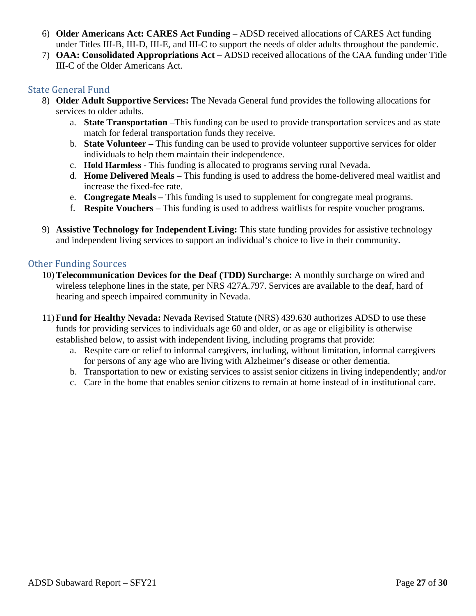- 6) **Older Americans Act: CARES Act Funding** ADSD received allocations of CARES Act funding under Titles III-B, III-D, III-E, and III-C to support the needs of older adults throughout the pandemic.
- 7) **OAA: Consolidated Appropriations Act** ADSD received allocations of the CAA funding under Title III-C of the Older Americans Act.

#### State General Fund

- 8) **Older Adult Supportive Services:** The Nevada General fund provides the following allocations for services to older adults.
	- a. **State Transportation** –This funding can be used to provide transportation services and as state match for federal transportation funds they receive.
	- b. **State Volunteer** This funding can be used to provide volunteer supportive services for older individuals to help them maintain their independence.
	- c. **Hold Harmless** This funding is allocated to programs serving rural Nevada.
	- d. **Home Delivered Meals** This funding is used to address the home-delivered meal waitlist and increase the fixed-fee rate.
	- e. **Congregate Meals** This funding is used to supplement for congregate meal programs.
	- f. **Respite Vouchers**  This funding is used to address waitlists for respite voucher programs.
- 9) **Assistive Technology for Independent Living:** This state funding provides for assistive technology and independent living services to support an individual's choice to live in their community.

#### Other Funding Sources

- 10) **Telecommunication Devices for the Deaf (TDD) Surcharge:** A monthly surcharge on wired and wireless telephone lines in the state, per NRS 427A.797. Services are available to the deaf, hard of hearing and speech impaired community in Nevada.
- 11) **Fund for Healthy Nevada:** Nevada Revised Statute (NRS) 439.630 authorizes ADSD to use these funds for providing services to individuals age 60 and older, or as age or eligibility is otherwise established below, to assist with independent living, including programs that provide:
	- a. Respite care or relief to informal caregivers, including, without limitation, informal caregivers for persons of any age who are living with Alzheimer's disease or other dementia.
	- b. Transportation to new or existing services to assist senior citizens in living independently; and/or
	- c. Care in the home that enables senior citizens to remain at home instead of in institutional care.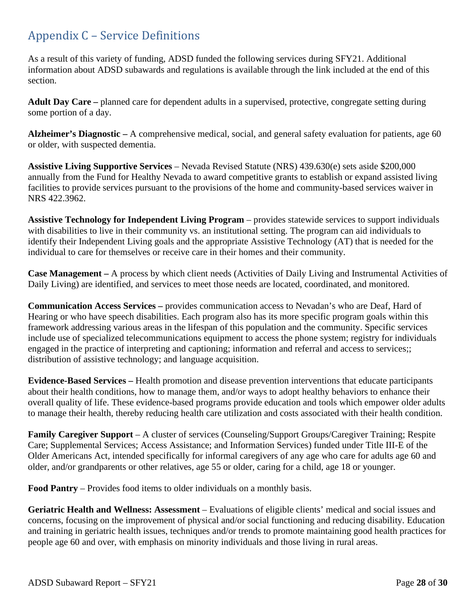## <span id="page-27-0"></span>Appendix C – Service Definitions

As a result of this variety of funding, ADSD funded the following services during SFY21. Additional information about ADSD subawards and regulations is available through the link included at the end of this section.

**Adult Day Care –** planned care for dependent adults in a supervised, protective, congregate setting during some portion of a day.

**Alzheimer's Diagnostic –** A comprehensive medical, social, and general safety evaluation for patients, age 60 or older, with suspected dementia.

**Assistive Living Supportive Services** – Nevada Revised Statute (NRS) 439.630(e) sets aside \$200,000 annually from the Fund for Healthy Nevada to award competitive grants to establish or expand assisted living facilities to provide services pursuant to the provisions of the home and community-based services waiver in NRS 422.3962.

**Assistive Technology for Independent Living Program** – provides statewide services to support individuals with disabilities to live in their community vs. an institutional setting. The program can aid individuals to identify their Independent Living goals and the appropriate Assistive Technology (AT) that is needed for the individual to care for themselves or receive care in their homes and their community.

**Case Management –** A process by which client needs (Activities of Daily Living and Instrumental Activities of Daily Living) are identified, and services to meet those needs are located, coordinated, and monitored.

**Communication Access Services –** provides communication access to Nevadan's who are Deaf, Hard of Hearing or who have speech disabilities. Each program also has its more specific program goals within this framework addressing various areas in the lifespan of this population and the community. Specific services include use of specialized telecommunications equipment to access the phone system; registry for individuals engaged in the practice of interpreting and captioning; information and referral and access to services;; distribution of assistive technology; and language acquisition.

**Evidence-Based Services –** Health promotion and disease prevention interventions that educate participants about their health conditions, how to manage them, and/or ways to adopt healthy behaviors to enhance their overall quality of life. These evidence-based programs provide education and tools which empower older adults to manage their health, thereby reducing health care utilization and costs associated with their health condition.

**Family Caregiver Support** – A cluster of services (Counseling/Support Groups/Caregiver Training; Respite Care; Supplemental Services; Access Assistance; and Information Services) funded under Title III-E of the Older Americans Act, intended specifically for informal caregivers of any age who care for adults age 60 and older, and/or grandparents or other relatives, age 55 or older, caring for a child, age 18 or younger.

**Food Pantry** – Provides food items to older individuals on a monthly basis.

**Geriatric Health and Wellness: Assessment** – Evaluations of eligible clients' medical and social issues and concerns, focusing on the improvement of physical and/or social functioning and reducing disability. Education and training in geriatric health issues, techniques and/or trends to promote maintaining good health practices for people age 60 and over, with emphasis on minority individuals and those living in rural areas.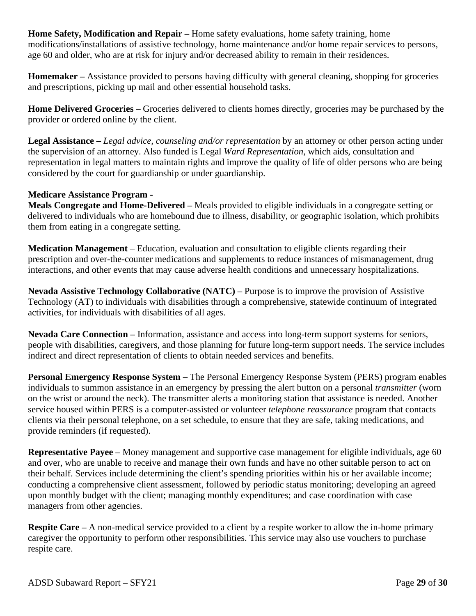**Home Safety, Modification and Repair –** Home safety evaluations, home safety training, home modifications/installations of assistive technology, home maintenance and/or home repair services to persons, age 60 and older, who are at risk for injury and/or decreased ability to remain in their residences.

**Homemaker –** Assistance provided to persons having difficulty with general cleaning, shopping for groceries and prescriptions, picking up mail and other essential household tasks.

**Home Delivered Groceries** – Groceries delivered to clients homes directly, groceries may be purchased by the provider or ordered online by the client.

**Legal Assistance –** *Legal advice, counseling and/or representation* by an attorney or other person acting under the supervision of an attorney. Also funded is Legal *Ward Representation*, which aids, consultation and representation in legal matters to maintain rights and improve the quality of life of older persons who are being considered by the court for guardianship or under guardianship.

#### **Medicare Assistance Program -**

**Meals Congregate and Home-Delivered –** Meals provided to eligible individuals in a congregate setting or delivered to individuals who are homebound due to illness, disability, or geographic isolation, which prohibits them from eating in a congregate setting.

**Medication Management** – Education, evaluation and consultation to eligible clients regarding their prescription and over-the-counter medications and supplements to reduce instances of mismanagement, drug interactions, and other events that may cause adverse health conditions and unnecessary hospitalizations.

**Nevada Assistive Technology Collaborative (NATC)** – Purpose is to improve the provision of Assistive Technology (AT) to individuals with disabilities through a comprehensive, statewide continuum of integrated activities, for individuals with disabilities of all ages.

**Nevada Care Connection –** Information, assistance and access into long-term support systems for seniors, people with disabilities, caregivers, and those planning for future long-term support needs. The service includes indirect and direct representation of clients to obtain needed services and benefits.

**Personal Emergency Response System –** The Personal Emergency Response System (PERS) program enables individuals to summon assistance in an emergency by pressing the alert button on a personal *transmitter* (worn on the wrist or around the neck). The transmitter alerts a monitoring station that assistance is needed. Another service housed within PERS is a computer-assisted or volunteer *telephone reassurance* program that contacts clients via their personal telephone, on a set schedule, to ensure that they are safe, taking medications, and provide reminders (if requested).

**Representative Payee** – Money management and supportive case management for eligible individuals, age 60 and over, who are unable to receive and manage their own funds and have no other suitable person to act on their behalf. Services include determining the client's spending priorities within his or her available income; conducting a comprehensive client assessment, followed by periodic status monitoring; developing an agreed upon monthly budget with the client; managing monthly expenditures; and case coordination with case managers from other agencies.

**Respite Care –** A non-medical service provided to a client by a respite worker to allow the in-home primary caregiver the opportunity to perform other responsibilities. This service may also use vouchers to purchase respite care.